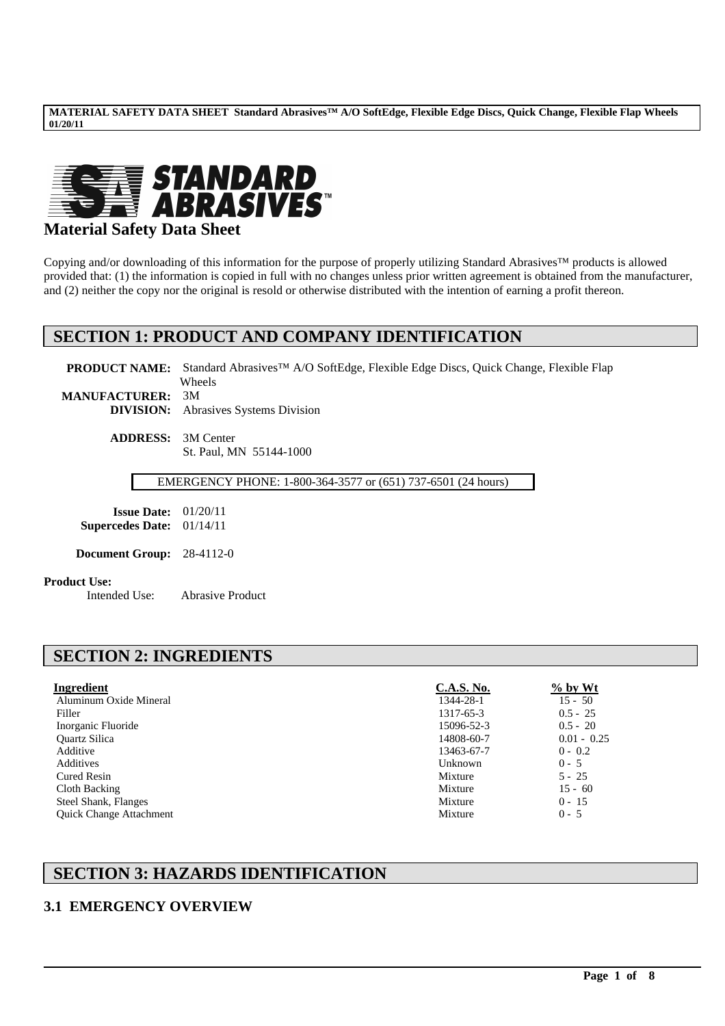

## **Material Safety Data Sheet**

Copying and/or downloading of this information for the purpose of properly utilizing Standard Abrasives™ products is allowed provided that: (1) the information is copied in full with no changes unless prior written agreement is obtained from the manufacturer, and (2) neither the copy nor the original is resold or otherwise distributed with the intention of earning a profit thereon.

## **SECTION 1: PRODUCT AND COMPANY IDENTIFICATION**

PRODUCT NAME: Standard Abrasives<sup>™</sup> A/O SoftEdge, Flexible Edge Discs, Quick Change, Flexible Flap Wheels **MANUFACTURER:** 3M **DIVISION:** Abrasives Systems Division

**ADDRESS:** 3M Center St. Paul, MN 55144-1000

EMERGENCY PHONE: 1-800-364-3577 or (651) 737-6501 (24 hours)

**Issue Date:** 01/20/11 **Supercedes Date:** 01/14/11

**Document Group:** 28-4112-0

# **Product Use:**<br>Intended Use:

Abrasive Product

## **SECTION 2: INGREDIENTS**

| Ingredient                     | <b>C.A.S. No.</b> | $\%$ by Wt    |
|--------------------------------|-------------------|---------------|
| Aluminum Oxide Mineral         | 1344-28-1         | $15 - 50$     |
| Filler                         | 1317-65-3         | $0.5 - 25$    |
| Inorganic Fluoride             | 15096-52-3        | $0.5 - 20$    |
| <b>Ouartz Silica</b>           | 14808-60-7        | $0.01 - 0.25$ |
| Additive                       | 13463-67-7        | $0 - 0.2$     |
| Additives                      | Unknown           | $0 - 5$       |
| Cured Resin                    | Mixture           | $5 - 25$      |
| Cloth Backing                  | Mixture           | $15 - 60$     |
| Steel Shank, Flanges           | Mixture           | $0 - 15$      |
| <b>Ouick Change Attachment</b> | Mixture           | $0 - 5$       |

\_\_\_\_\_\_\_\_\_\_\_\_\_\_\_\_\_\_\_\_\_\_\_\_\_\_\_\_\_\_\_\_\_\_\_\_\_\_\_\_\_\_\_\_\_\_\_\_\_\_\_\_\_\_\_\_\_\_\_\_\_\_\_\_\_\_\_\_\_\_\_\_\_\_\_\_\_\_\_\_\_\_\_\_\_\_\_\_\_\_\_\_\_\_\_\_\_

## **SECTION 3: HAZARDS IDENTIFICATION**

### **3.1 EMERGENCY OVERVIEW**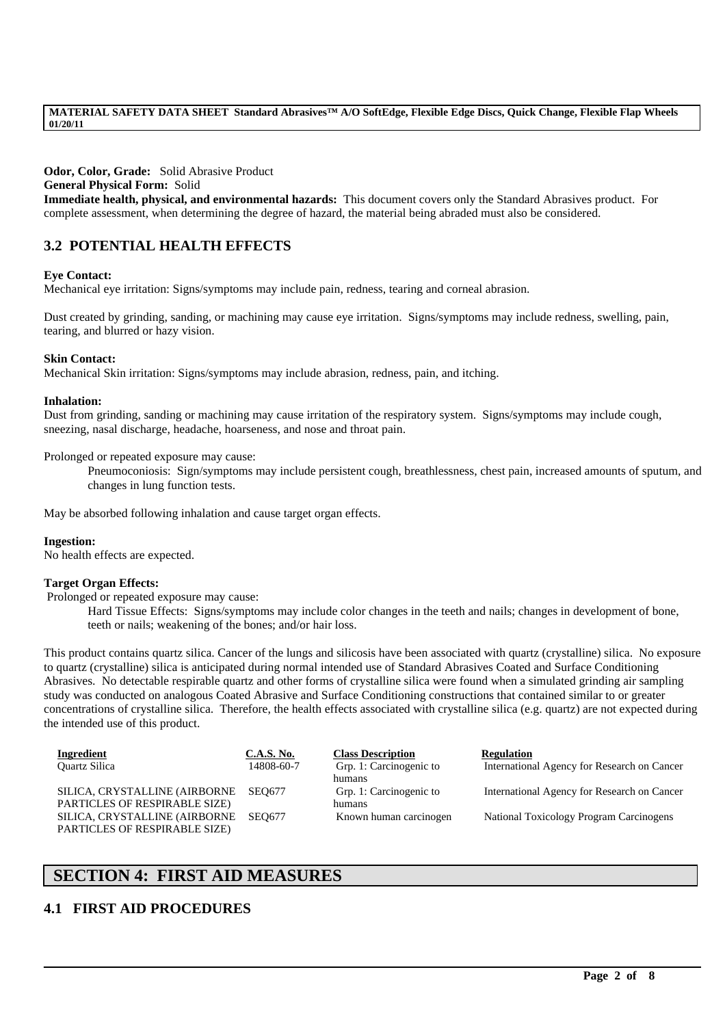**Odor, Color, Grade:** Solid Abrasive Product

#### **General Physical Form:** Solid

**Immediate health, physical, and environmental hazards:** This document covers only the Standard Abrasives product. For complete assessment, when determining the degree of hazard, the material being abraded must also be considered.

## **3.2 POTENTIAL HEALTH EFFECTS**

#### **Eye Contact:**

Mechanical eye irritation: Signs/symptoms may include pain, redness, tearing and corneal abrasion.

Dust created by grinding, sanding, or machining may cause eye irritation. Signs/symptoms may include redness, swelling, pain, tearing, and blurred or hazy vision.

#### **Skin Contact:**

Mechanical Skin irritation: Signs/symptoms may include abrasion, redness, pain, and itching.

#### **Inhalation:**

Dust from grinding, sanding or machining may cause irritation of the respiratory system. Signs/symptoms may include cough, sneezing, nasal discharge, headache, hoarseness, and nose and throat pain.

Prolonged or repeated exposure may cause:

Pneumoconiosis: Sign/symptoms may include persistent cough, breathlessness, chest pain, increased amounts of sputum, and changes in lung function tests.

May be absorbed following inhalation and cause target organ effects.

#### **Ingestion:**

No health effects are expected.

#### **Target Organ Effects:**

Prolonged or repeated exposure may cause:

Hard Tissue Effects: Signs/symptoms may include color changes in the teeth and nails; changes in development of bone, teeth or nails; weakening of the bones; and/or hair loss.

This product contains quartz silica. Cancer of the lungs and silicosis have been associated with quartz (crystalline) silica. No exposure to quartz (crystalline) silica is anticipated during normal intended use of Standard Abrasives Coated and Surface Conditioning Abrasives. No detectable respirable quartz and other forms of crystalline silica were found when a simulated grinding air sampling study was conducted on analogous Coated Abrasive and Surface Conditioning constructions that contained similar to or greater concentrations of crystalline silica. Therefore, the health effects associated with crystalline silica (e.g. quartz) are not expected during the intended use of this product.

| Ingredient                           | <b>C.A.S. No.</b> | <b>Class Description</b> | <b>Regulation</b>                           |
|--------------------------------------|-------------------|--------------------------|---------------------------------------------|
| <b>Ouartz Silica</b>                 | 14808-60-7        | Grp. 1: Carcinogenic to  | International Agency for Research on Cancer |
|                                      |                   | humans                   |                                             |
| SILICA, CRYSTALLINE (AIRBORNE SEO677 |                   | Grp. 1: Carcinogenic to  | International Agency for Research on Cancer |
| PARTICLES OF RESPIRABLE SIZE)        |                   | humans                   |                                             |
| SILICA, CRYSTALLINE (AIRBORNE        | <b>SEO677</b>     | Known human carcinogen   | National Toxicology Program Carcinogens     |
| PARTICLES OF RESPIRABLE SIZE)        |                   |                          |                                             |

\_\_\_\_\_\_\_\_\_\_\_\_\_\_\_\_\_\_\_\_\_\_\_\_\_\_\_\_\_\_\_\_\_\_\_\_\_\_\_\_\_\_\_\_\_\_\_\_\_\_\_\_\_\_\_\_\_\_\_\_\_\_\_\_\_\_\_\_\_\_\_\_\_\_\_\_\_\_\_\_\_\_\_\_\_\_\_\_\_\_\_\_\_\_\_\_\_

## **SECTION 4: FIRST AID MEASURES**

### **4.1 FIRST AID PROCEDURES**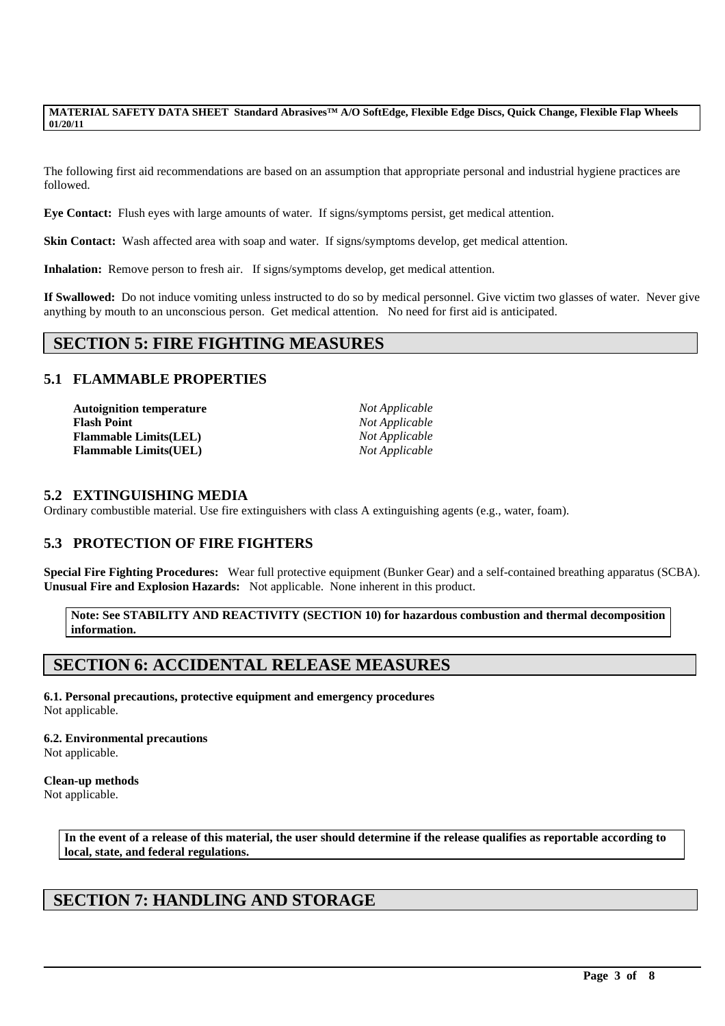The following first aid recommendations are based on an assumption that appropriate personal and industrial hygiene practices are followed.

**Eye Contact:** Flush eyes with large amounts of water. If signs/symptoms persist, get medical attention.

**Skin Contact:** Wash affected area with soap and water. If signs/symptoms develop, get medical attention.

**Inhalation:** Remove person to fresh air. If signs/symptoms develop, get medical attention.

**If Swallowed:** Do not induce vomiting unless instructed to do so by medical personnel. Give victim two glasses of water. Never give anything by mouth to an unconscious person. Get medical attention. No need for first aid is anticipated.

## **SECTION 5: FIRE FIGHTING MEASURES**

### **5.1 FLAMMABLE PROPERTIES**

| <b>Autoignition temperature</b> |
|---------------------------------|
| <b>Flash Point</b>              |
| <b>Flammable Limits(LEL)</b>    |
| <b>Flammable Limits(UEL)</b>    |

*Not Applicable*  $Not Appliedble$ **Flammable Limits(LEL)** *Not Applicable*  $Not Appliedble$ 

#### **5.2 EXTINGUISHING MEDIA**

Ordinary combustible material. Use fire extinguishers with class A extinguishing agents (e.g., water, foam).

### **5.3 PROTECTION OF FIRE FIGHTERS**

**Special Fire Fighting Procedures:** Wear full protective equipment (Bunker Gear) and a self-contained breathing apparatus (SCBA). **Unusual Fire and Explosion Hazards:** Not applicable. None inherent in this product.

**Note: See STABILITY AND REACTIVITY (SECTION 10) for hazardous combustion and thermal decomposition information.**

## **SECTION 6: ACCIDENTAL RELEASE MEASURES**

**6.1. Personal precautions, protective equipment and emergency procedures** Not applicable.

#### **6.2. Environmental precautions**

Not applicable.

#### **Clean-up methods**

Not applicable.

**In the event of a release of this material, the user should determine if the release qualifies as reportable according to local, state, and federal regulations.**

\_\_\_\_\_\_\_\_\_\_\_\_\_\_\_\_\_\_\_\_\_\_\_\_\_\_\_\_\_\_\_\_\_\_\_\_\_\_\_\_\_\_\_\_\_\_\_\_\_\_\_\_\_\_\_\_\_\_\_\_\_\_\_\_\_\_\_\_\_\_\_\_\_\_\_\_\_\_\_\_\_\_\_\_\_\_\_\_\_\_\_\_\_\_\_\_\_

## **SECTION 7: HANDLING AND STORAGE**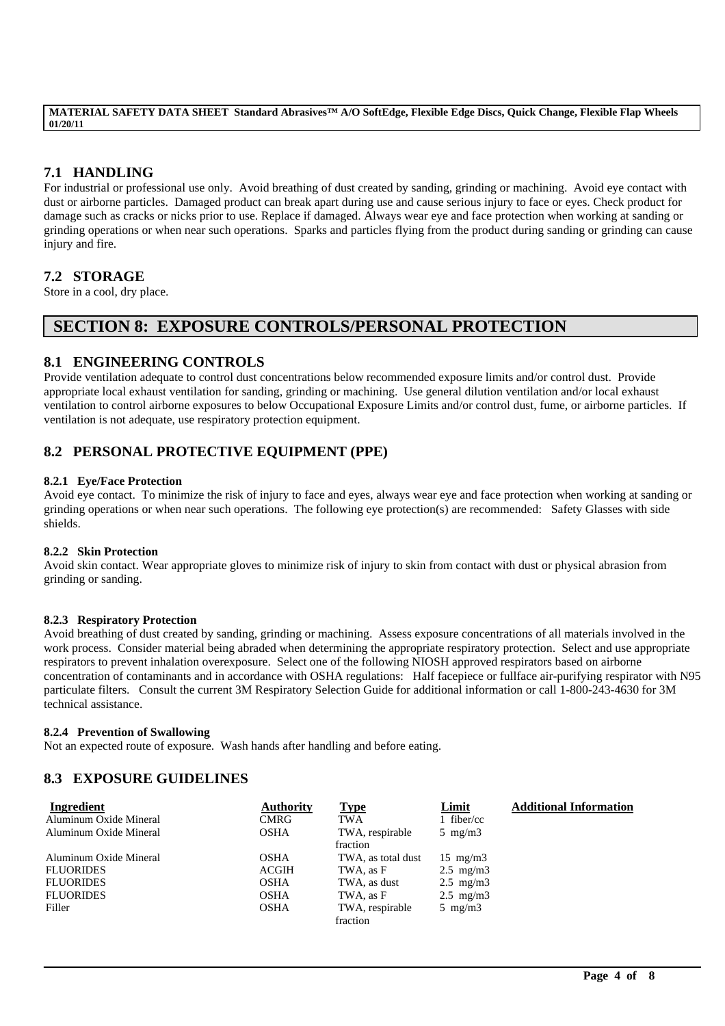## **7.1 HANDLING**

For industrial or professional use only. Avoid breathing of dust created by sanding, grinding or machining. Avoid eye contact with dust or airborne particles. Damaged product can break apart during use and cause serious injury to face or eyes. Check product for damage such as cracks or nicks prior to use. Replace if damaged. Always wear eye and face protection when working at sanding or grinding operations or when near such operations. Sparks and particles flying from the product during sanding or grinding can cause injury and fire.

### **7.2 STORAGE**

Store in a cool, dry place.

## **SECTION 8: EXPOSURE CONTROLS/PERSONAL PROTECTION**

### **8.1 ENGINEERING CONTROLS**

Provide ventilation adequate to control dust concentrations below recommended exposure limits and/or control dust. Provide appropriate local exhaust ventilation for sanding, grinding or machining. Use general dilution ventilation and/or local exhaust ventilation to control airborne exposures to below Occupational Exposure Limits and/or control dust, fume, or airborne particles. If ventilation is not adequate, use respiratory protection equipment.

## **8.2 PERSONAL PROTECTIVE EQUIPMENT (PPE)**

#### **8.2.1 Eye/Face Protection**

Avoid eye contact. To minimize the risk of injury to face and eyes, always wear eye and face protection when working at sanding or grinding operations or when near such operations. The following eye protection(s) are recommended: Safety Glasses with side shields.

#### **8.2.2 Skin Protection**

Avoid skin contact. Wear appropriate gloves to minimize risk of injury to skin from contact with dust or physical abrasion from grinding or sanding.

#### **8.2.3 Respiratory Protection**

Avoid breathing of dust created by sanding, grinding or machining. Assess exposure concentrations of all materials involved in the work process. Consider material being abraded when determining the appropriate respiratory protection. Select and use appropriate respirators to prevent inhalation overexposure. Select one of the following NIOSH approved respirators based on airborne concentration of contaminants and in accordance with OSHA regulations: Half facepiece or fullface air-purifying respirator with N95 particulate filters. Consult the current 3M Respiratory Selection Guide for additional information or call 1-800-243-4630 for 3M technical assistance.

#### **8.2.4 Prevention of Swallowing**

Not an expected route of exposure. Wash hands after handling and before eating.

### **8.3 EXPOSURE GUIDELINES**

| Ingredient             | <b>Authority</b> | <b>Type</b>        | Limit              | <b>Additional Information</b> |
|------------------------|------------------|--------------------|--------------------|-------------------------------|
| Aluminum Oxide Mineral | <b>CMRG</b>      | <b>TWA</b>         | 1 fiber/cc         |                               |
| Aluminum Oxide Mineral | <b>OSHA</b>      | TWA, respirable    | $5 \text{ mg/m}$   |                               |
|                        |                  | fraction           |                    |                               |
| Aluminum Oxide Mineral | <b>OSHA</b>      | TWA, as total dust | $15 \text{ mg/m}$  |                               |
| <b>FLUORIDES</b>       | ACGIH            | TWA, as F          | $2.5 \text{ mg/m}$ |                               |
| <b>FLUORIDES</b>       | <b>OSHA</b>      | TWA, as dust       | $2.5 \text{ mg/m}$ |                               |
| <b>FLUORIDES</b>       | <b>OSHA</b>      | TWA, as F          | $2.5 \text{ mg/m}$ |                               |
| Filler                 | <b>OSHA</b>      | TWA, respirable    | $5 \text{ mg/m}$   |                               |
|                        |                  | fraction           |                    |                               |

\_\_\_\_\_\_\_\_\_\_\_\_\_\_\_\_\_\_\_\_\_\_\_\_\_\_\_\_\_\_\_\_\_\_\_\_\_\_\_\_\_\_\_\_\_\_\_\_\_\_\_\_\_\_\_\_\_\_\_\_\_\_\_\_\_\_\_\_\_\_\_\_\_\_\_\_\_\_\_\_\_\_\_\_\_\_\_\_\_\_\_\_\_\_\_\_\_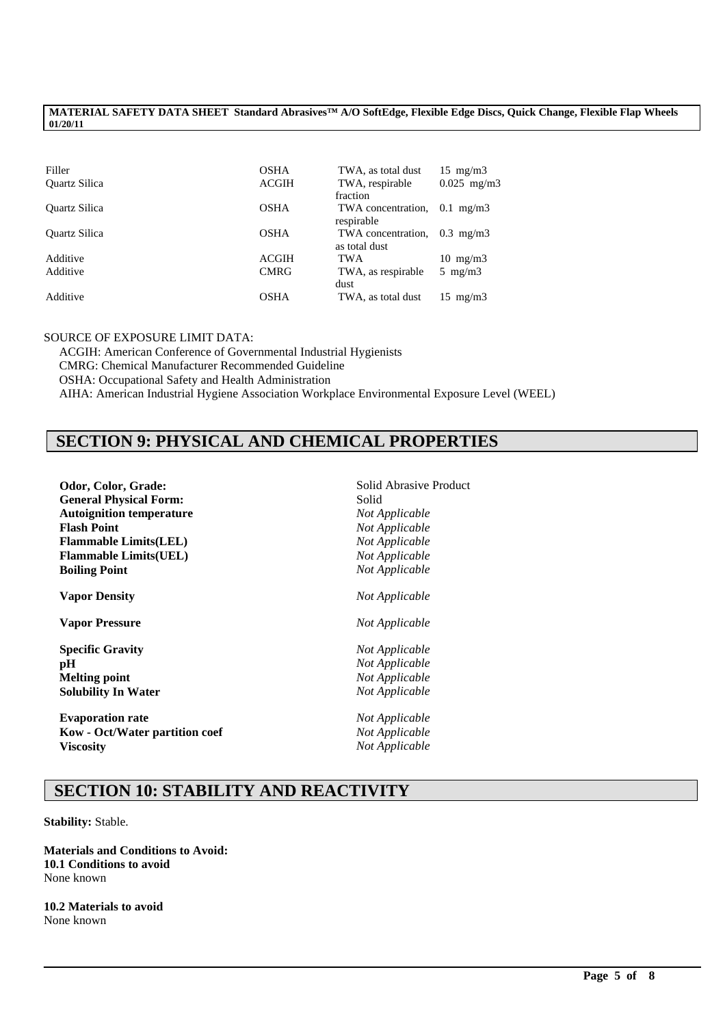| Filler               | <b>OSHA</b>  | TWA, as total dust | $15 \text{ mg/m}$ |
|----------------------|--------------|--------------------|-------------------|
| <b>Ouartz Silica</b> | <b>ACGIH</b> | TWA, respirable    | $0.025$ mg/m3     |
|                      |              | fraction           |                   |
| <b>Ouartz Silica</b> | <b>OSHA</b>  | TWA concentration. | $0.1$ mg/m $3$    |
|                      |              | respirable         |                   |
| <b>Ouartz Silica</b> | <b>OSHA</b>  | TWA concentration. | $0.3$ mg/m $3$    |
|                      |              | as total dust      |                   |
| Additive             | ACGIH        | <b>TWA</b>         | $10 \text{ mg/m}$ |
| Additive             | <b>CMRG</b>  | TWA, as respirable | 5 mg/m $3$        |
|                      |              | dust               |                   |
| Additive             | OSHA         | TWA, as total dust | $15 \text{ mg/m}$ |

#### SOURCE OF EXPOSURE LIMIT DATA:

ACGIH: American Conference of Governmental Industrial Hygienists CMRG: Chemical Manufacturer Recommended Guideline OSHA: Occupational Safety and Health Administration AIHA: American Industrial Hygiene Association Workplace Environmental Exposure Level (WEEL)

## **SECTION 9: PHYSICAL AND CHEMICAL PROPERTIES**

| Odor, Color, Grade:             | Solid Abrasive Product |
|---------------------------------|------------------------|
| <b>General Physical Form:</b>   | Solid                  |
| <b>Autoignition temperature</b> | Not Applicable         |
| <b>Flash Point</b>              | Not Applicable         |
| <b>Flammable Limits(LEL)</b>    | Not Applicable         |
| <b>Flammable Limits(UEL)</b>    | Not Applicable         |
| <b>Boiling Point</b>            | Not Applicable         |
| <b>Vapor Density</b>            | Not Applicable         |
| <b>Vapor Pressure</b>           | Not Applicable         |
| <b>Specific Gravity</b>         | Not Applicable         |
| pН                              | Not Applicable         |
| <b>Melting point</b>            | Not Applicable         |
| <b>Solubility In Water</b>      | Not Applicable         |
| <b>Evaporation rate</b>         | Not Applicable         |
| Kow - Oct/Water partition coef  | Not Applicable         |
| <b>Viscosity</b>                | Not Applicable         |
|                                 |                        |

## **SECTION 10: STABILITY AND REACTIVITY**

\_\_\_\_\_\_\_\_\_\_\_\_\_\_\_\_\_\_\_\_\_\_\_\_\_\_\_\_\_\_\_\_\_\_\_\_\_\_\_\_\_\_\_\_\_\_\_\_\_\_\_\_\_\_\_\_\_\_\_\_\_\_\_\_\_\_\_\_\_\_\_\_\_\_\_\_\_\_\_\_\_\_\_\_\_\_\_\_\_\_\_\_\_\_\_\_\_

**Stability:** Stable.

**Materials and Conditions to Avoid: 10.1 Conditions to avoid** None known

**10.2 Materials to avoid** None known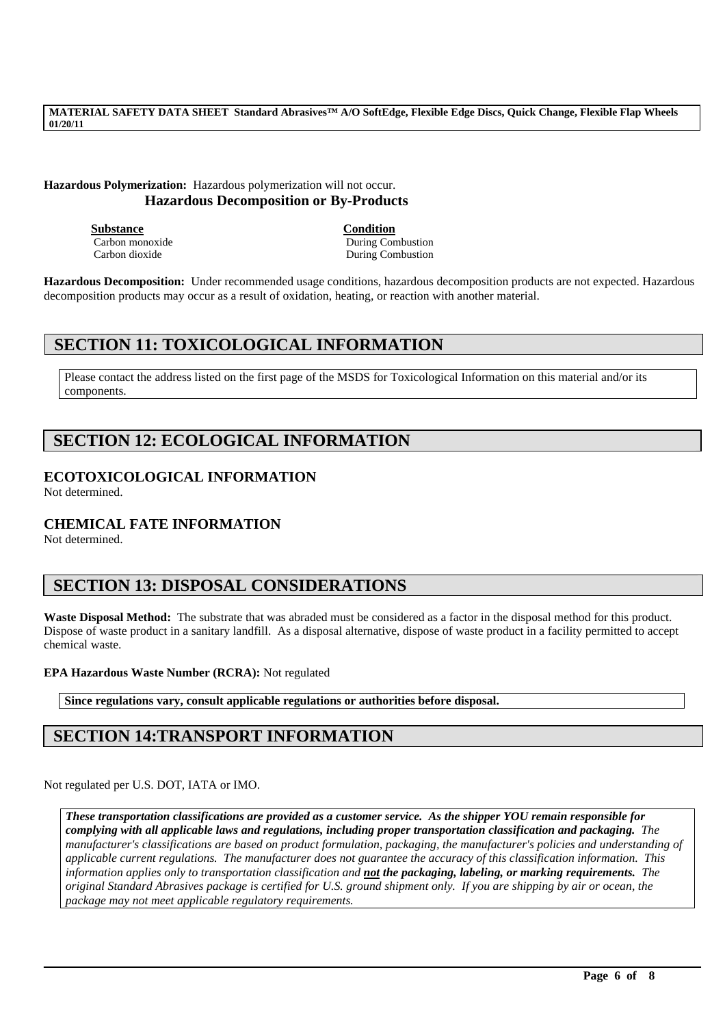### **Hazardous Polymerization:** Hazardous polymerization will not occur. **Hazardous Decomposition or By-Products**

**Substance Condition**

Carbon monoxide During Combustion Carbon dioxide During Combustion

**Hazardous Decomposition:** Under recommended usage conditions, hazardous decomposition products are not expected. Hazardous decomposition products may occur as a result of oxidation, heating, or reaction with another material.

## **SECTION 11: TOXICOLOGICAL INFORMATION**

Please contact the address listed on the first page of the MSDS for Toxicological Information on this material and/or its components.

## **SECTION 12: ECOLOGICAL INFORMATION**

### **ECOTOXICOLOGICAL INFORMATION**

Not determined.

### **CHEMICAL FATE INFORMATION**

Not determined.

## **SECTION 13: DISPOSAL CONSIDERATIONS**

**Waste Disposal Method:** The substrate that was abraded must be considered as a factor in the disposal method for this product. Dispose of waste product in a sanitary landfill. As a disposal alternative, dispose of waste product in a facility permitted to accept chemical waste.

#### **EPA Hazardous Waste Number (RCRA):** Not regulated

**Since regulations vary, consult applicable regulations or authorities before disposal.**

## **SECTION 14:TRANSPORT INFORMATION**

Not regulated per U.S. DOT, IATA or IMO.

*These transportation classifications are provided as a customer service. As the shipper YOU remain responsible for complying with all applicable laws and regulations, including proper transportation classification and packaging. The manufacturer's classifications are based on product formulation, packaging, the manufacturer's policies and understanding of applicable current regulations. The manufacturer does not guarantee the accuracy of this classification information. This information applies only to transportation classification and not the packaging, labeling, or marking requirements. The original Standard Abrasives package is certified for U.S. ground shipment only. If you are shipping by air or ocean, the package may not meet applicable regulatory requirements.* 

\_\_\_\_\_\_\_\_\_\_\_\_\_\_\_\_\_\_\_\_\_\_\_\_\_\_\_\_\_\_\_\_\_\_\_\_\_\_\_\_\_\_\_\_\_\_\_\_\_\_\_\_\_\_\_\_\_\_\_\_\_\_\_\_\_\_\_\_\_\_\_\_\_\_\_\_\_\_\_\_\_\_\_\_\_\_\_\_\_\_\_\_\_\_\_\_\_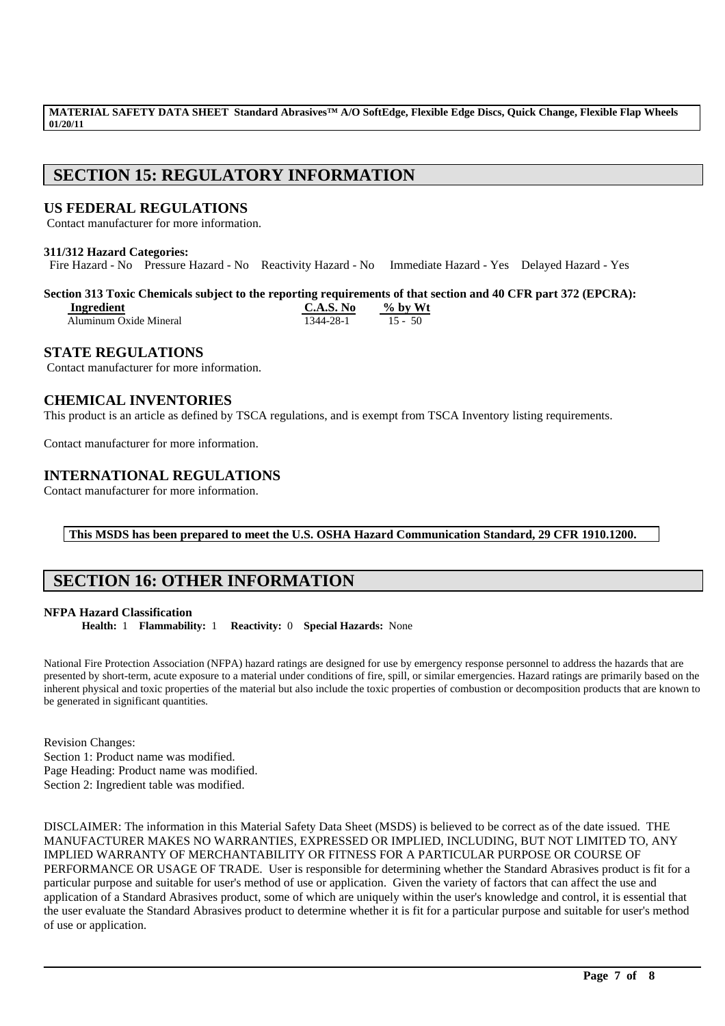## **SECTION 15: REGULATORY INFORMATION**

### **US FEDERAL REGULATIONS**

Contact manufacturer for more information.

#### **311/312 Hazard Categories:**

Fire Hazard - No Pressure Hazard - No Reactivity Hazard - No Immediate Hazard - Yes Delayed Hazard - Yes

## **Section 313 Toxic Chemicals subject to the reporting requirements of that section and 40 CFR part 372 (EPCRA):**

| Ingredient             | C.A.S. No | $\%$ by Wt |
|------------------------|-----------|------------|
| Aluminum Oxide Mineral | 1344-28-1 | $15 - 50$  |

### **STATE REGULATIONS**

Contact manufacturer for more information.

### **CHEMICAL INVENTORIES**

This product is an article as defined by TSCA regulations, and is exempt from TSCA Inventory listing requirements.

Contact manufacturer for more information.

### **INTERNATIONAL REGULATIONS**

Contact manufacturer for more information.

#### **This MSDS has been prepared to meet the U.S. OSHA Hazard Communication Standard, 29 CFR 1910.1200.**

## **SECTION 16: OTHER INFORMATION**

#### **NFPA Hazard Classification**

**Health:** 1 **Flammability:** 1 **Reactivity:** 0 **Special Hazards:** None

National Fire Protection Association (NFPA) hazard ratings are designed for use by emergency response personnel to address the hazards that are presented by short-term, acute exposure to a material under conditions of fire, spill, or similar emergencies. Hazard ratings are primarily based on the inherent physical and toxic properties of the material but also include the toxic properties of combustion or decomposition products that are known to be generated in significant quantities.

Revision Changes: Section 1: Product name was modified. Page Heading: Product name was modified. Section 2: Ingredient table was modified.

DISCLAIMER: The information in this Material Safety Data Sheet (MSDS) is believed to be correct as of the date issued. THE MANUFACTURER MAKES NO WARRANTIES, EXPRESSED OR IMPLIED, INCLUDING, BUT NOT LIMITED TO, ANY IMPLIED WARRANTY OF MERCHANTABILITY OR FITNESS FOR A PARTICULAR PURPOSE OR COURSE OF PERFORMANCE OR USAGE OF TRADE. User is responsible for determining whether the Standard Abrasives product is fit for a particular purpose and suitable for user's method of use or application. Given the variety of factors that can affect the use and application of a Standard Abrasives product, some of which are uniquely within the user's knowledge and control, it is essential that the user evaluate the Standard Abrasives product to determine whether it is fit for a particular purpose and suitable for user's method of use or application.

\_\_\_\_\_\_\_\_\_\_\_\_\_\_\_\_\_\_\_\_\_\_\_\_\_\_\_\_\_\_\_\_\_\_\_\_\_\_\_\_\_\_\_\_\_\_\_\_\_\_\_\_\_\_\_\_\_\_\_\_\_\_\_\_\_\_\_\_\_\_\_\_\_\_\_\_\_\_\_\_\_\_\_\_\_\_\_\_\_\_\_\_\_\_\_\_\_